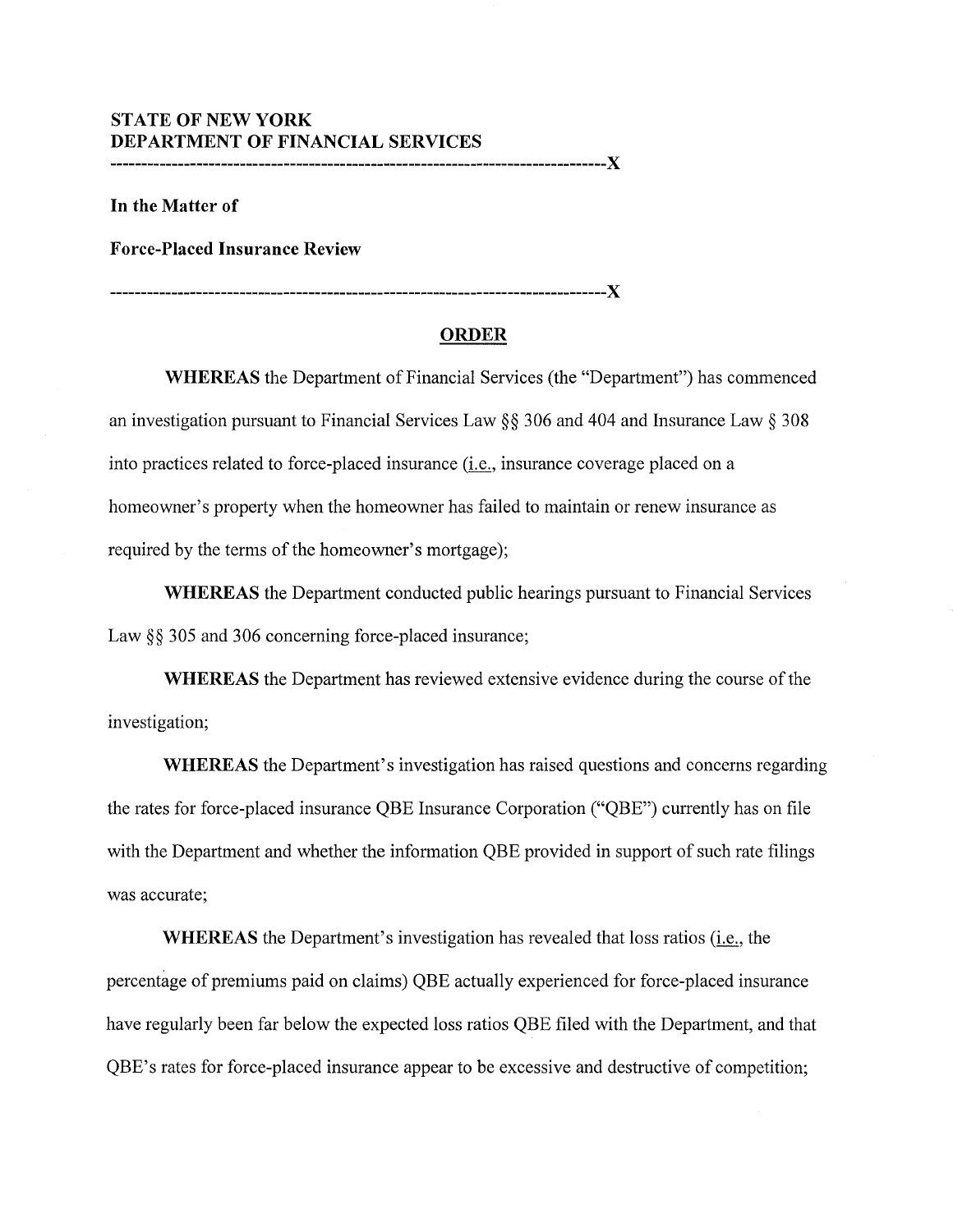## **ST ATE OF NEW YORK DEPARTMENT OF FINANCIAL SERVICES**

**--------------------------------------------------------------------------------X** 

**In the Matter of** 

**Force-Placed Insurance Review** 

**--------------------------------------------------------------------------------X** 

## **ORDER**

**WHEREAS** the Department of Financial Services (the "Department") has commenced an investigation pursuant to Financial Services Law§§ 306 and 404 and Insurance Law§ 308 into practices related to force-placed insurance (i.e., insurance coverage placed on a homeowner's property when the homeowner has failed to maintain or renew insurance as required by the terms of the homeowner's mortgage);

**WHEREAS** the Department conducted public hearings pursuant to Financial Services Law §§ 305 and 306 concerning force-placed insurance;

**WHEREAS** the Department has reviewed extensive evidence during the course of the investigation;

**WHEREAS** the Department's investigation has raised questions and concerns regarding the rates for force-placed insurance QBE Insurance Corporation ("QBE") currently has on file with the Department and whether the information QBE provided in support of such rate filings was accurate;

**WHEREAS** the Department's investigation has revealed that loss ratios (i.e., the percentage of premiums paid on claims) QBE actually experienced for force-placed insurance have regularly been far below the expected loss ratios QBE filed with the Department, and that QBE's rates for force-placed insurance appear to be excessive and destructive of competition;